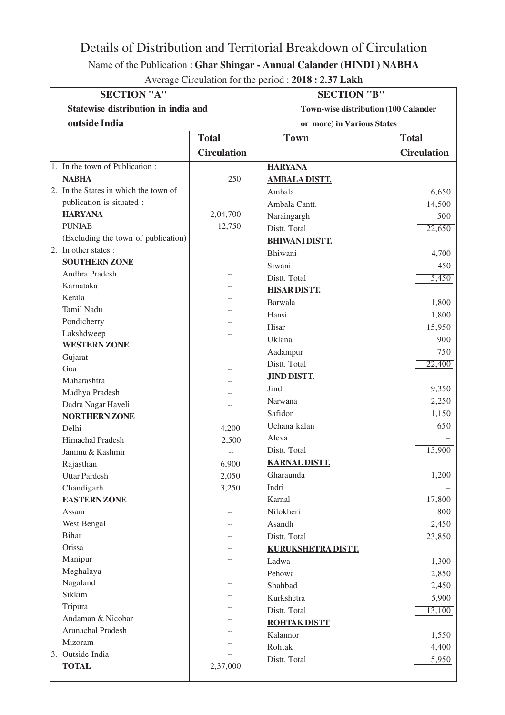## Details of Distribution and Territorial Breakdown of Circulation

## Name of the Publication : **Ghar Shingar - Annual Calander (HINDI ) NABHA**

| <b>SECTION "A"</b>                     |                    | <b>SECTION "B"</b>                          |                    |
|----------------------------------------|--------------------|---------------------------------------------|--------------------|
| Statewise distribution in india and    |                    | <b>Town-wise distribution (100 Calander</b> |                    |
| outside India                          |                    | or more) in Various States                  |                    |
|                                        | <b>Total</b>       | <b>Town</b>                                 | <b>Total</b>       |
|                                        |                    |                                             |                    |
|                                        | <b>Circulation</b> |                                             | <b>Circulation</b> |
| 1. In the town of Publication:         |                    | <b>HARYANA</b>                              |                    |
| <b>NABHA</b>                           | 250                | <b>AMBALA DISTT.</b>                        |                    |
| 2. In the States in which the town of  |                    | Ambala                                      | 6,650              |
| publication is situated :              |                    | Ambala Cantt.                               | 14,500             |
| <b>HARYANA</b>                         | 2,04,700           | Naraingargh                                 | 500                |
| <b>PUNJAB</b>                          | 12,750             | Distt. Total                                | 22,650             |
| (Excluding the town of publication)    |                    | <b>BHIWANI DISTT.</b>                       |                    |
| 2. In other states :                   |                    | Bhiwani                                     | 4,700              |
| <b>SOUTHERN ZONE</b>                   |                    | Siwani                                      | 450                |
| Andhra Pradesh                         |                    | Distt. Total                                | 5,450              |
| Karnataka                              |                    | <b>HISAR DISTT.</b>                         |                    |
| Kerala                                 |                    | Barwala                                     | 1,800              |
| Tamil Nadu                             |                    | Hansi                                       | 1,800              |
| Pondicherry                            |                    | Hisar                                       | 15,950             |
| Lakshdweep                             |                    | Uklana                                      | 900                |
| <b>WESTERN ZONE</b>                    |                    | Aadampur                                    | 750                |
| Gujarat                                |                    | Distt. Total                                | 22,400             |
| Goa                                    |                    | <b>JIND DISTT.</b>                          |                    |
| Maharashtra                            |                    | Jind                                        | 9,350              |
| Madhya Pradesh                         |                    | Narwana                                     | 2,250              |
| Dadra Nagar Haveli                     |                    | Safidon                                     | 1,150              |
| <b>NORTHERN ZONE</b>                   |                    | Uchana kalan                                | 650                |
| Delhi                                  | 4,200              | Aleva                                       |                    |
| Himachal Pradesh                       | 2,500              | Distt. Total                                | 15,900             |
| Jammu & Kashmir                        |                    | <b>KARNAL DISTT.</b>                        |                    |
| Rajasthan                              | 6,900              |                                             | 1,200              |
| <b>Uttar Pardesh</b>                   | 2,050              | Gharaunda                                   |                    |
| Chandigarh                             | 3,250              | Indri                                       |                    |
| <b>EASTERN ZONE</b>                    |                    | Karnal                                      | 17,800             |
| Assam                                  |                    | Nilokheri                                   | 800                |
| West Bengal                            |                    | Asandh                                      | 2,450              |
| Bihar                                  |                    | Distt. Total                                | 23,850             |
| Orissa                                 |                    | KURUKSHETRA DISTT.                          |                    |
| Manipur                                |                    | Ladwa                                       | 1,300              |
| Meghalaya                              |                    | Pehowa                                      | 2,850              |
| Nagaland                               |                    | Shahbad                                     | 2,450              |
| Sikkim                                 |                    | Kurkshetra                                  | 5,900              |
| Tripura                                |                    | Distt. Total                                | 13,100             |
| Andaman & Nicobar<br>Arunachal Pradesh |                    | <b>ROHTAK DISTT</b>                         |                    |
|                                        |                    | Kalannor                                    | 1,550              |
| Mizoram                                |                    | Rohtak                                      | 4,400              |
| 3. Outside India<br><b>TOTAL</b>       |                    | Distt. Total                                | $\overline{5,950}$ |
|                                        | 2,37,000           |                                             |                    |

Average Circulation for the period : **2018 : 2.37 Lakh**